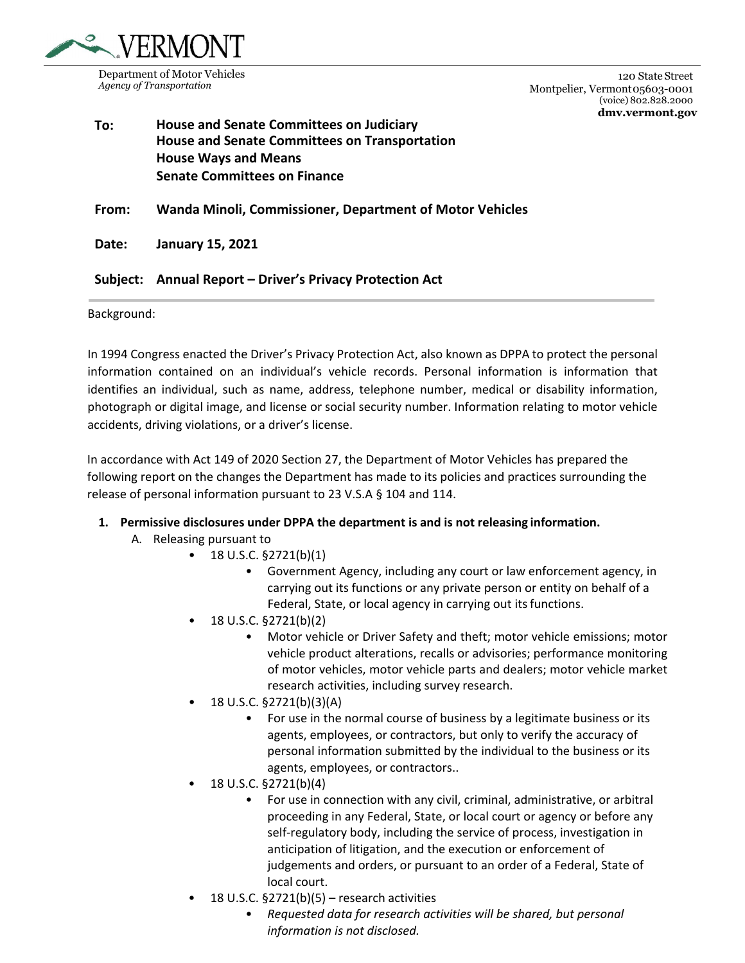

120 State Street Montpelier, Vermont 05603-0001 (voice) 802.828.2000 **dmv.vermont.gov** 

## **To: House and Senate Committees on Judiciary House and Senate Committees on Transportation House Ways and Means Senate Committees on Finance**

**From: Wanda Minoli, Commissioner, Department of Motor Vehicles**

**Date: January 15, 2021**

**Subject: Annual Report – Driver's Privacy Protection Act**

Background:

In 1994 Congress enacted the Driver's Privacy Protection Act, also known as DPPA to protect the personal information contained on an individual's vehicle records. Personal information is information that identifies an individual, such as name, address, telephone number, medical or disability information, photograph or digital image, and license or social security number. Information relating to motor vehicle accidents, driving violations, or a driver's license.

In accordance with Act 149 of 2020 Section 27, the Department of Motor Vehicles has prepared the following report on the changes the Department has made to its policies and practices surrounding the release of personal information pursuant to 23 V.S.A § 104 and 114.

## **1. Permissive disclosures under DPPA the department is and is not releasing information.**

- A. Releasing pursuant to
	- 18 U.S.C.  $\S 2721(b)(1)$ 
		- Government Agency, including any court or law enforcement agency, in carrying out its functions or any private person or entity on behalf of a Federal, State, or local agency in carrying out its functions.
		- 18 U.S.C. §2721(b)(2)
			- Motor vehicle or Driver Safety and theft; motor vehicle emissions; motor vehicle product alterations, recalls or advisories; performance monitoring of motor vehicles, motor vehicle parts and dealers; motor vehicle market research activities, including survey research.
		- 18 U.S.C. §2721(b)(3)(A)
			- For use in the normal course of business by a legitimate business or its agents, employees, or contractors, but only to verify the accuracy of personal information submitted by the individual to the business or its agents, employees, or contractors..
		- 18 U.S.C. §2721(b)(4)
			- For use in connection with any civil, criminal, administrative, or arbitral proceeding in any Federal, State, or local court or agency or before any self-regulatory body, including the service of process, investigation in anticipation of litigation, and the execution or enforcement of judgements and orders, or pursuant to an order of a Federal, State of local court.
		- $\bullet$  18 U.S.C. §2721(b)(5) research activities
			- *Requested data for research activities will be shared, but personal information is not disclosed.*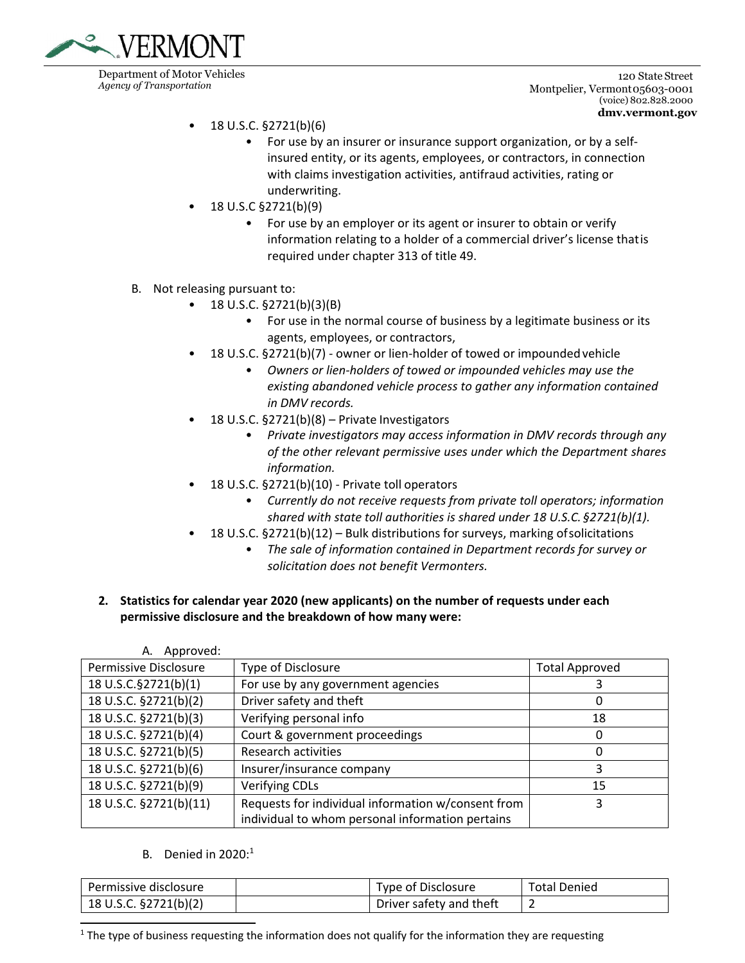

120 State Street Montpelier, Vermont 05603-0001 (voice) 802.828.2000 **dmv.vermont.gov** 

- 18 U.S.C. §2721(b)(6)
	- For use by an insurer or insurance support organization, or by a self‐ insured entity, or its agents, employees, or contractors, in connection with claims investigation activities, antifraud activities, rating or underwriting.
- 18 U.S.C §2721(b)(9)
	- For use by an employer or its agent or insurer to obtain or verify information relating to a holder of a commercial driver's license thatis required under chapter 313 of title 49.
- B. Not releasing pursuant to:
	- 18 U.S.C. §2721(b)(3)(B)
		- For use in the normal course of business by a legitimate business or its agents, employees, or contractors,
	- 18 U.S.C. §2721(b)(7) owner or lien-holder of towed or impounded vehicle
		- *Owners or lien‐holders of towed or impounded vehicles may use the existing abandoned vehicle process to gather any information contained in DMV records.*
	- 18 U.S.C. §2721(b)(8) Private Investigators
		- *Private investigators may access information in DMV records through any of the other relevant permissive uses under which the Department shares information.*
	- 18 U.S.C. §2721(b)(10) ‐ Private toll operators
		- *Currently do not receive requests from private toll operators; information shared with state toll authorities is shared under 18 U.S.C. §2721(b)(1).*
	- 18 U.S.C. §2721(b)(12) Bulk distributions for surveys, marking ofsolicitations
		- *The sale of information contained in Department records for survey or solicitation does not benefit Vermonters.*
- **2. Statistics for calendar year 2020 (new applicants) on the number of requests under each permissive disclosure and the breakdown of how many were:**

| Approved:<br>А.        |                                                                                                        |                       |
|------------------------|--------------------------------------------------------------------------------------------------------|-----------------------|
| Permissive Disclosure  | Type of Disclosure                                                                                     | <b>Total Approved</b> |
| 18 U.S.C.§2721(b)(1)   | For use by any government agencies                                                                     |                       |
| 18 U.S.C. §2721(b)(2)  | Driver safety and theft                                                                                | 0                     |
| 18 U.S.C. §2721(b)(3)  | Verifying personal info                                                                                | 18                    |
| 18 U.S.C. §2721(b)(4)  | Court & government proceedings                                                                         | 0                     |
| 18 U.S.C. §2721(b)(5)  | <b>Research activities</b>                                                                             | 0                     |
| 18 U.S.C. §2721(b)(6)  | Insurer/insurance company                                                                              | 3                     |
| 18 U.S.C. §2721(b)(9)  | <b>Verifying CDLs</b>                                                                                  | 15                    |
| 18 U.S.C. §2721(b)(11) | Requests for individual information w/consent from<br>individual to whom personal information pertains | 3                     |

B. Denied in  $2020$ :<sup>1</sup>

| Permissive disclosure | Type of Disclosure      | <b>Total Denied</b> |
|-----------------------|-------------------------|---------------------|
| 18 U.S.C. §2721(b)(2) | Driver safety and theft |                     |

 $1$  The type of business requesting the information does not qualify for the information they are requesting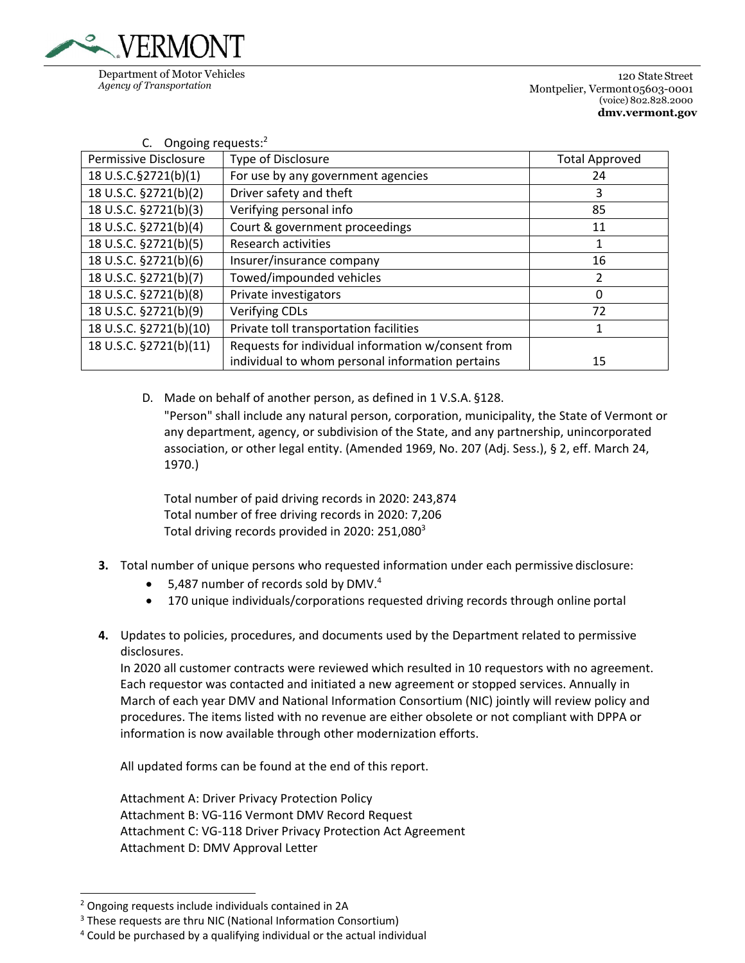

120 State Street Montpelier, Vermont 05603-0001 (voice) 802.828.2000 **dmv.vermont.gov** 

| Ongoing requests: <sup>2</sup> |                                                                                                        |                       |  |  |
|--------------------------------|--------------------------------------------------------------------------------------------------------|-----------------------|--|--|
| Permissive Disclosure          | Type of Disclosure                                                                                     | <b>Total Approved</b> |  |  |
| 18 U.S.C.§2721(b)(1)           | For use by any government agencies                                                                     | 24                    |  |  |
| 18 U.S.C. §2721(b)(2)          | Driver safety and theft                                                                                | 3                     |  |  |
| 18 U.S.C. §2721(b)(3)          | Verifying personal info                                                                                | 85                    |  |  |
| 18 U.S.C. §2721(b)(4)          | Court & government proceedings                                                                         | 11                    |  |  |
| 18 U.S.C. §2721(b)(5)          | <b>Research activities</b>                                                                             | 1                     |  |  |
| 18 U.S.C. §2721(b)(6)          | Insurer/insurance company                                                                              | 16                    |  |  |
| 18 U.S.C. §2721(b)(7)          | Towed/impounded vehicles                                                                               | $\overline{2}$        |  |  |
| 18 U.S.C. §2721(b)(8)          | Private investigators                                                                                  | $\Omega$              |  |  |
| 18 U.S.C. §2721(b)(9)          | <b>Verifying CDLs</b>                                                                                  | 72                    |  |  |
| 18 U.S.C. §2721(b)(10)         | Private toll transportation facilities                                                                 | 1                     |  |  |
| 18 U.S.C. §2721(b)(11)         | Requests for individual information w/consent from<br>individual to whom personal information pertains | 15                    |  |  |

D. Made on behalf of another person, as defined in 1 V.S.A. §128. "Person" shall include any natural person, corporation, municipality, the State of Vermont or any department, agency, or subdivision of the State, and any partnership, unincorporated association, or other legal entity. (Amended 1969, No. 207 (Adj. Sess.), § 2, eff. March 24, 1970.)

Total number of paid driving records in 2020: 243,874 Total number of free driving records in 2020: 7,206 Total driving records provided in 2020: 251,080<sup>3</sup>

- **3.** Total number of unique persons who requested information under each permissive disclosure:
	- 5,487 number of records sold by DMV.<sup>4</sup>
	- 170 unique individuals/corporations requested driving records through online portal
- **4.** Updates to policies, procedures, and documents used by the Department related to permissive disclosures.

In 2020 all customer contracts were reviewed which resulted in 10 requestors with no agreement. Each requestor was contacted and initiated a new agreement or stopped services. Annually in March of each year DMV and National Information Consortium (NIC) jointly will review policy and procedures. The items listed with no revenue are either obsolete or not compliant with DPPA or information is now available through other modernization efforts.

All updated forms can be found at the end of this report.

Attachment A: Driver Privacy Protection Policy Attachment B: VG‐116 Vermont DMV Record Request Attachment C: VG‐118 Driver Privacy Protection Act Agreement Attachment D: DMV Approval Letter

<sup>2</sup> Ongoing requests include individuals contained in 2A

<sup>&</sup>lt;sup>3</sup> These requests are thru NIC (National Information Consortium)

<sup>4</sup> Could be purchased by a qualifying individual or the actual individual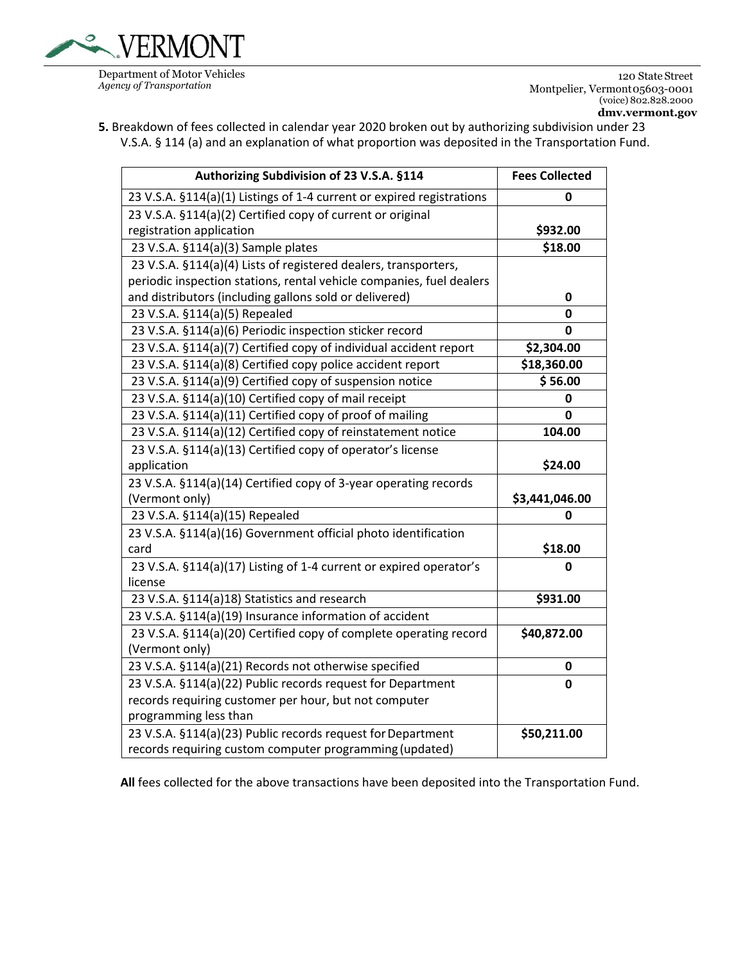

120 State Street Montpelier, Vermont 05603-0001 (voice) 802.828.2000 **dmv.vermont.gov** 

**5.** Breakdown of fees collected in calendar year 2020 broken out by authorizing subdivision under 23 V.S.A. § 114 (a) and an explanation of what proportion was deposited in the Transportation Fund.

| Authorizing Subdivision of 23 V.S.A. §114                             | <b>Fees Collected</b> |
|-----------------------------------------------------------------------|-----------------------|
| 23 V.S.A. §114(a)(1) Listings of 1-4 current or expired registrations | 0                     |
| 23 V.S.A. §114(a)(2) Certified copy of current or original            |                       |
| registration application                                              | \$932.00              |
| 23 V.S.A. §114(a)(3) Sample plates                                    | \$18.00               |
| 23 V.S.A. §114(a)(4) Lists of registered dealers, transporters,       |                       |
| periodic inspection stations, rental vehicle companies, fuel dealers  |                       |
| and distributors (including gallons sold or delivered)                | 0                     |
| 23 V.S.A. §114(a)(5) Repealed                                         | 0                     |
| 23 V.S.A. §114(a)(6) Periodic inspection sticker record               | 0                     |
| 23 V.S.A. §114(a)(7) Certified copy of individual accident report     | \$2,304.00            |
| 23 V.S.A. §114(a)(8) Certified copy police accident report            | \$18,360.00           |
| 23 V.S.A. §114(a)(9) Certified copy of suspension notice              | \$56.00               |
| 23 V.S.A. §114(a)(10) Certified copy of mail receipt                  | 0                     |
| 23 V.S.A. §114(a)(11) Certified copy of proof of mailing              | 0                     |
| 23 V.S.A. §114(a)(12) Certified copy of reinstatement notice          | 104.00                |
| 23 V.S.A. §114(a)(13) Certified copy of operator's license            |                       |
| application                                                           | \$24.00               |
| 23 V.S.A. §114(a)(14) Certified copy of 3-year operating records      |                       |
| (Vermont only)                                                        | \$3,441,046.00        |
| 23 V.S.A. §114(a)(15) Repealed                                        | 0                     |
| 23 V.S.A. §114(a)(16) Government official photo identification        |                       |
| card                                                                  | \$18.00               |
| 23 V.S.A. §114(a)(17) Listing of 1-4 current or expired operator's    | 0                     |
| license                                                               |                       |
| 23 V.S.A. §114(a)18) Statistics and research                          | \$931.00              |
| 23 V.S.A. §114(a)(19) Insurance information of accident               |                       |
| 23 V.S.A. §114(a)(20) Certified copy of complete operating record     | \$40,872.00           |
| (Vermont only)                                                        |                       |
| 23 V.S.A. §114(a)(21) Records not otherwise specified                 | 0                     |
| 23 V.S.A. §114(a)(22) Public records request for Department           | 0                     |
| records requiring customer per hour, but not computer                 |                       |
| programming less than                                                 |                       |
| 23 V.S.A. §114(a)(23) Public records request for Department           | \$50,211.00           |
| records requiring custom computer programming (updated)               |                       |

**All** fees collected for the above transactions have been deposited into the Transportation Fund.